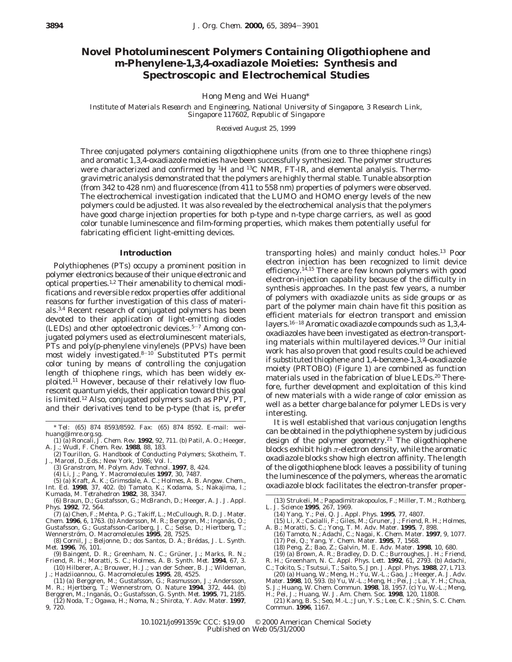# **Novel Photoluminescent Polymers Containing Oligothiophene and** *m***-Phenylene-1,3,4-oxadiazole Moieties: Synthesis and Spectroscopic and Electrochemical Studies**

Hong Meng and Wei Huang\*

*Institute of Materials Research and Engineering, National University of Singapore, 3 Research Link, Singapore 117602, Republic of Singapore*

*Received August 25, 1999*

Three conjugated polymers containing oligothiophene units (from one to three thiophene rings) and aromatic 1,3,4-oxadiazole moieties have been successfully synthesized. The polymer structures were characterized and confirmed by  ${}^{1}$ H and  ${}^{13}$ C NMR, FT-IR, and elemental analysis. Thermogravimetric analysis demonstrated that the polymers are highly thermal stable. Tunable absorption (from 342 to 428 nm) and fluorescence (from 411 to 558 nm) properties of polymers were observed. The electrochemical investigation indicated that the LUMO and HOMO energy levels of the new polymers could be adjusted. It was also revealed by the electrochemical analysis that the polymers have good charge injection properties for both *p*-type and *n*-type charge carriers, as well as good color tunable luminescence and film-forming properties, which makes them potentially useful for fabricating efficient light-emitting devices.

#### **Introduction**

Polythiophenes (PTs) occupy a prominent position in polymer electronics because of their unique electronic and optical properties.<sup>1,2</sup> Their amenability to chemical modifications and reversible redox properties offer additional reasons for further investigation of this class of materials.3,4 Recent research of conjugated polymers has been devoted to their application of light-emitting diodes (LEDs) and other optoelectronic devices.5-<sup>7</sup> Among conjugated polymers used as electroluminescent materials, PTs and poly(*p*-phenylene vinylene)s (PPVs) have been most widely investigated.8-<sup>10</sup> Substituted PTs permit color tuning by means of controlling the conjugation length of thiophene rings, which has been widely exploited.11 However, because of their relatively low fluorescent quantum yields, their application toward this goal is limited.12 Also, conjugated polymers such as PPV, PT, and their derivatives tend to be *p*-type (that is, prefer

\* Tel: (65) 874 8593/8592. Fax: (65) 874 8592. E-mail: weihuang@imre.org.sg. (1) (a) Roncali, J. *Chem. Rev.* **1992**, *92*, 711. (b) Patil, A. O.; Heeger,

- (3) Granstrom, M. *Polym. Adv. Technol.* **1997**, *8*, 424.
- (4) Li, J.; Pang, Y. *Macromolecules* **1997**, *30*, 7487.
- (5) (a) Kraft, A. K.; Grimsdale, A. C.; Holmes, A. B. *Angew. Chem., Int. Ed.* **1998**, *37*, 402. (b) Tamato, K.; Kodama, S.; Nakajima, I.; Kumada, M. *Tetrahedron* **1982**, *38*, 3347.
- (6) Braun, D.; Gustafsson, G.; McBranch, D.; Heeger, A. J. *J. Appl. Phys*. **1992**, *72*, 564.
- (7) (a) Chen, F.; Mehta, P. G.; Takiff, L.; McCullough, R. D. *J. Mater. Chem.* **1996**, *6*, 1763. (b) Andersson, M. R.; Berggren, M.; Inganäs, O.;
- Gustafsson, G.; Gustafsson-Carlberg, J. C.; Selse, D.; Hiertberg, T.; Wennerstro¨m, O. *Macromolecules* **1995**, *28*, 7525.
- (8) Cornil, J.; Beljonne, D.; dos Santos, D. A.; Bre´das, J. L. *Synth. Met*. **1996**, *76*, 101.
- (9) Baingent, D. R.; Greenham, N. C.; Grüner, J.; Marks, R. N.; Friend, R. H.; Moratti, S. C.; Holmes, A. B. *Synth. Met*. **1994**, *67*, 3. (10) Hilberer, A.; Brouwer, H. J.; van der Scheer, B. J.; Wildeman,
- J.; Hadziioannou, G. *Macromolecules* **1995**, *28*, 4525. (11) (a) Berggren, M.; Gustafsson, G.; Rasmusson, J.; Andersson,
- M. R.; Hjertberg, T.; Wennerstrom, O. *Nature* **1994**, *372*, 444. (b)<br>Berggren, M.; Inganäs, O.; Gustafsson, G. *Synth. Met*. **1995**, *71*, 2185.
- (12) Noda, T.; Ogawa, H.; Noma, N.; Shirota, Y. *Adv. Mater*. **1997**, *9*, 720.

transporting holes) and mainly conduct holes.13 Poor electron injection has been recognized to limit device efficiency.<sup>14,15</sup> There are few known polymers with good electron-injection capability because of the difficulty in synthesis approaches. In the past few years, a number of polymers with oxadiazole units as side groups or as part of the polymer main chain have fit this position as efficient materials for electron transport and emission layers.16-<sup>18</sup> Aromatic oxadiazole compounds such as 1,3,4 oxadiazoles have been investigated as electron-transporting materials within multilayered devices.19 Our initial work has also proven that good results could be achieved if substituted thiophene and 1,4-benzene-1,3,4-oxadiazole moiety (PRTOBO) (Figure 1) are combined as function materials used in the fabrication of blue LEDs.<sup>20</sup> Therefore, further development and exploitation of this kind of new materials with a wide range of color emission as well as a better charge balance for polymer LEDs is very interesting.

It is well established that various conjugation lengths can be obtained in the polythiophene system by judicious design of the polymer geometry.<sup>21</sup> The oligothiophene blocks exhibit high *π*-electron density, while the aromatic oxadiazole blocks show high electron affinity. The length of the oligothiophene block leaves a possibility of tuning the luminescence of the polymers, whereas the aromatic oxadiazole block facilitates the electron-transfer proper-

- (13) Strukeli, M.; Papadimitrakopoulos, F.; Miller, T. M.; Rothberg, L. J. *Science* **1995**, *267*, 1969.
	- (14) Yang, Y.; Pei, Q. *J. Appl. Phys.* **1995**, *77*, 4807. (15) Li, X.; Cacialli, F.; Giles, M.; Gruner, J.; Friend, R. H.; Holmes,
	-
- A. B.; Moratti, S. C.; Yong, T. M. *Adv. Mater.* **1995**, 7, 898.<br>
(16) Tamoto, N.; Adachi, C.; Nagai, K. *Chem. Mater.* **1997**, 9, 1077.<br>
(17) Pei, Q.; Yang, Y. *Chem. Mater.* **1995**, 7, 1568.<br>
(18) Peng, Z.; Bao, Z.; Galv
	-
	-
- 
- 
- 
- S. J.; Huang, W. *Chem. Commun.* **1998**, *18*, 1957. (c) Yu, W.-L.; Meng,<br>H.; Pei, J.; Huang, W. *J. Am. Chem. Soc.* **1998**, *120*, 11808.<br>(21) Kang, B. S.; Seo, M.-L.; Jun, Y. S.; Lee, C. K.; Shin, S. C. *Chem.*
- *Commun*. **1996**, 1167.

A. J.; Wudl, F. *Chem. Rev.* **1988**, *88*, 183.

<sup>(2)</sup> Tourillon, G. *Handbook of Conducting Polymers*; Skotheim, T. J., Marcel, D.,Eds.; New York, 1986; Vol. I.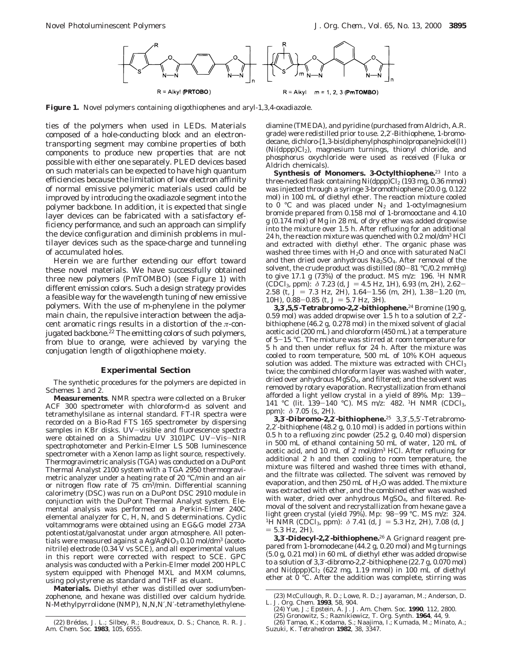

**Figure 1.** Novel polymers containing oligothiophenes and aryl-1,3,4-oxadiazole.

ties of the polymers when used in LEDs. Materials composed of a hole-conducting block and an electrontransporting segment may combine properties of both components to produce new properties that are not possible with either one separately. PLED devices based on such materials can be expected to have high quantum efficiencies because the limitation of low electron affinity of normal emissive polymeric materials used could be improved by introducing the oxadiazole segment into the polymer backbone. In addition, it is expected that single layer devices can be fabricated with a satisfactory efficiency performance, and such an approach can simplify the device configuration and diminish problems in multilayer devices such as the space-charge and tunneling of accumulated holes.

Herein we are further extending our effort toward these novel materials. We have successfully obtained three new polymers (PmTOMBO) (see Figure 1) with different emission colors. Such a design strategy provides a feasible way for the wavelength tuning of new emissive polymers. With the use of *m*-phenylene in the polymer main chain, the repulsive interaction between the adjacent aromatic rings results in a distortion of the *π*-conjugated backbone.<sup>22</sup> The emitting colors of such polymers, from blue to orange, were achieved by varying the conjugation length of oligothiophene moiety.

### **Experimental Section**

The synthetic procedures for the polymers are depicted in Schemes 1 and 2.

**Measurements**. NMR spectra were collected on a Bruker ACF 300 spectrometer with chloroform-*d* as solvent and tetramethylsilane as internal standard. FT-IR spectra were recorded on a Bio-Rad FTS 165 spectrometer by dispersing samples in KBr disks. UV-visible and fluorescence spectra were obtained on a Shimadzu UV 3101PC UV-Vis-NIR spectrophotometer and Perkin-Elmer LS 50B luminescence spectrometer with a Xenon lamp as light source, respectively. Thermogravimetric analysis (TGA) was conducted on a DuPont Thermal Analyst 2100 system with a TGA 2950 thermogravimetric analyzer under a heating rate of 20 °C/min and an air or nitrogen flow rate of 75 cm3/min. Differential scanning calorimetry (DSC) was run on a DuPont DSC 2910 module in conjunction with the DuPont Thermal Analyst system. Elemental analysis was performed on a Perkin-Elmer 240C elemental analyzer for C, H, N, and S determinations. Cyclic voltammograms were obtained using an EG&G model 273A potentiostat/galvanostat under argon atmosphere. All potentials were measured against a Ag/ $\mathrm{\check{A}gNO_{3}~0.1\hat{0}}$  mol/dm<sup>3</sup> (acetonitrile) electrode (0.34 V vs SCE), and all experimental values in this report were corrected with respect to SCE. GPC analysis was conducted with a Perkin-Elmer model 200 HPLC system equipped with Phenogel MXL and MXM columns, using polystyrene as standard and THF as eluant.

**Materials.** Diethyl ether was distilled over sodium/benzophenone, and hexane was distilled over calcium hydride. *N*-Methylpyrrolidone (NMP), *N*,*N*,*N*′,*N*′-tetramethylethylene-

(22) Bre´das, J. L.; Silbey, R.; Boudreaux, D. S.; Chance, R. R. *J. Am. Chem. Soc*. **1983**, *105*, 6555.

diamine (TMEDA), and pyridine (purchased from Aldrich, A.R. grade) were redistilled prior to use. 2,2′-Bithiophene, 1-bromodecane, dichloro-[1,3-bis(diphenylphosphino)propane]nickel(II) (Ni(dppp)Cl2), magnesium turnings, thionyl chloride, and phosphorus oxychloride were used as received (Fluka or Aldrich chemicals).

**Synthesis of Monomers. 3-Octylthiophene.**<sup>23</sup> Into a three-necked flask containing  $Ni(dppp)Cl<sub>2</sub> (193 mg, 0.36 mmol)$ was injected through a syringe 3-bromothiophene (20.0 g, 0.122 mol) in 100 mL of diethyl ether. The reaction mixture cooled to 0  $\degree$ C and was placed under N<sub>2</sub> and 1-octylmagnesium bromide prepared from 0.158 mol of 1-bromooctane and 4.10 g (0.174 mol) of Mg in 28 mL of dry ether was added dropwise into the mixture over 1.5 h. After refluxing for an additional 24 h, the reaction mixture was quenched with 0.2 mol/dm3 HCl and extracted with diethyl ether. The organic phase was washed three times with H2O and once with saturated NaCl and then dried over anhydrous  $Na<sub>2</sub>SO<sub>4</sub>$ . After removal of the solvent, the crude product was distilled  $(80-81 \degree C/0.2 \text{ mmHg})$ to give 17.1 g (73%) of the product. MS *m*/*z*: 196. 1H NMR (CDCl<sub>3</sub>, ppm):  $\delta$  7.23 (d,  $J = 4.5$  Hz, 1H), 6.93 (m, 2H), 2.62-2.58 (t,  $J = 7.3$  Hz, 2H),  $1.64-1.56$  (m, 2H),  $1.38-1.20$  (m, 10H),  $0.88 - 0.85$  (t,  $J = 5.7$  Hz, 3H).

**3,3**′**,5,5**′**-Tetrabromo-2,2**′**-bithiophene.**<sup>24</sup> Bromine (190 g, 0.59 mol) was added dropwise over 1.5 h to a solution of  $2,\tilde{2}$ . bithiophene (46.2 g, 0.278 mol) in the mixed solvent of glacial acetic acid (200 mL) and chloroform (450 mL) at a temperature of 5-15 °C. The mixture was stirred at room temperature for 5 h and then under reflux for 24 h. After the mixture was cooled to room temperature, 500 mL of 10% KOH aqueous solution was added. The mixture was extracted with  $CHCl<sub>3</sub>$ twice; the combined chloroform layer was washed with water, dried over anhydrous MgSO4, and filtered; and the solvent was removed by rotary evaporation. Recrystallization from ethanol afforded a light yellow crystal in a yield of 89%. Mp: 139- 141 °C (lit. 139-140 °C). MS *<sup>m</sup>*/*z*: 482. 1H NMR (CDCl3, ppm): *δ* 7.05 (s, 2H).

**3,3**′**-Dibromo-2,2**′**-bithiophene.**<sup>25</sup> 3,3′,5,5′-Tetrabromo-2,2′-bithiophene (48.2 g, 0.10 mol) is added in portions within 0.5 h to a refluxing zinc powder (25.2 g, 0.40 mol) dispersion in 500 mL of ethanol containing 50 mL of water, 120 mL of acetic acid, and 10 mL of 2 mol<sup>/</sup>dm<sup>3</sup> HCl. After refluxing for additional 2 h and then cooling to room temperature, the mixture was filtered and washed three times with ethanol, and the filtrate was collected. The solvent was removed by evaporation, and then 250 mL of H<sub>2</sub>O was added. The mixture was extracted with ether, and the combined ether was washed with water, dried over anhydrous MgSO<sub>4</sub>, and filtered. Removal of the solvent and recrystallization from hexane gave a light green crystal (yield 79%). Mp:  $98-99$  °C. MS  $m/z$  324. <sup>1</sup>H NMR (CDCl<sub>3</sub>, ppm):  $\delta$  7.41 (d, *J* = 5.3 Hz, 2H), 7.08 (d, *J*  $= 5.3$  Hz, 2H).

**3,3**′**-Didecyl-2,2**′**-bithiophene.**<sup>26</sup> A Grignard reagent prepared from 1-bromodecane (44.2 g, 0.20 mol) and Mg turnings (5.0 g, 0.21 mol) in 60 mL of diethyl ether was added dropwise to a solution of 3,3′-dibromo-2,2′-bithiophene (22.7 g, 0.070 mol) and  $Ni(dppp)Cl<sub>2</sub>$  (622 mg, 1.19 mmol) in 100 mL of diethyl ether at  $0^{\circ}$ C. After the addition was complete, stirring was

<sup>(23)</sup> McCullough, R. D.; Lowe, R. D.; Jayaraman, M.; Anderson, D. L. *J. Org. Chem*. **1993**, *58*, 904.

<sup>(24)</sup> Yue, J.; Epstein, A. J. *J. Am. Chem. Soc*. **1990**, *112*, 2800. (25) Gronowitz, S.; Raznikiewicz, T. *Org. Synth*. **1964**, *44*, 9.

<sup>(26)</sup> Tamao, K.; Kodama, S.; Naajima, I.; Kumada, M.; Minato, A.; Suzuki, K. *Tetrahedron* **1982**, *38*, 3347.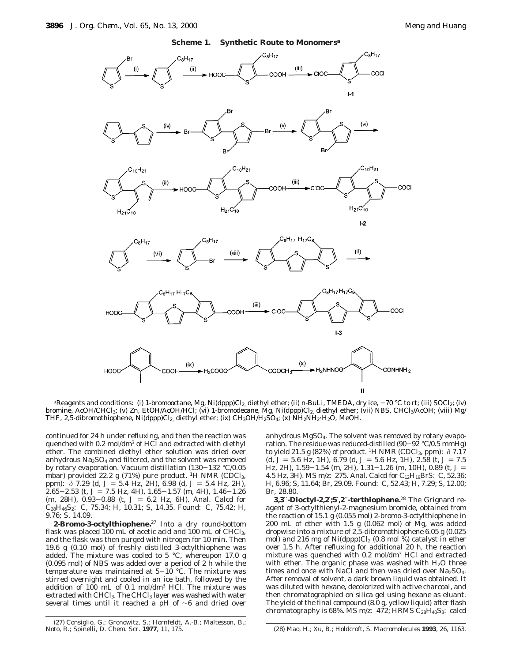



<sup>a</sup>Reagents and conditions: (i) 1-bromooctane, Mg, Ni(dppp)Cl<sub>2,</sub> diethyl ether; (ii) *n*-BuLi, TMEDA, dry ice, −70 °C to rt; (iii) SOCl<sub>2</sub>; (iv) bromine, AcOH/CHCl3; (v) Zn, EtOH/AcOH/HCl; (vi) 1-bromodecane, Mg, Ni(dppp)Cl<sub>2,</sub> diethyl ether; (vii) NBS, CHCl3/AcOH; (viii) Mg/ THF, 2,5-dibromothiophene, Ni(dppp)Cl<sub>2,</sub> diethyl ether; (ix) CH<sub>3</sub>OH/H<sub>2</sub>SO<sub>4</sub>; (x) NH<sub>2</sub>NH<sub>2</sub>·H<sub>2</sub>O, MeOH.

continued for 24 h under refluxing, and then the reaction was quenched with 0.2 mol/dm<sup>3</sup> of HCl and extracted with diethyl ether. The combined diethyl ether solution was dried over anhydrous  $Na<sub>2</sub>SO<sub>4</sub>$  and filtered, and the solvent was removed by rotary evaporation. Vacuum distillation (130-132 °C/0.05 mbar) provided 22.2 g  $(71\%)$  pure product. <sup>1</sup>H NMR (CDCl<sub>3</sub>, ppm):  $\delta$  7.29 (d,  $J = 5.4$  Hz, 2H), 6.98 (d,  $J = 5.4$  Hz, 2H),  $2.65 - 2.53$  (t,  $J = 7.5$  Hz, 4H),  $1.65 - 1.57$  (m, 4H),  $1.46 - 1.26$ (m, 28H), 0.93-0.88 (t,  $J = 6.2$  Hz, 6H). Anal. Calcd for C28H46S2: C, 75.34; H, 10.31; S, 14.35. Found: C, 75.42; H, 9.76; S, 14.09.

**2-Bromo-3-octylthiophene.**<sup>27</sup> Into a dry round-bottom flask was placed 100 mL of acetic acid and 100 mL of CHCl<sub>3</sub>, and the flask was then purged with nitrogen for 10 min. Then 19.6 g (0.10 mol) of freshly distilled 3-octylthiophene was added. The mixture was cooled to 5 °C, whereupon 17.0 g (0.095 mol) of NBS was added over a period of 2 h while the temperature was maintained at  $5-10$  °C. The mixture was stirred overnight and cooled in an ice bath, followed by the addition of 100 mL of 0.1 mol/dm3 HCl. The mixture was extracted with  $CHCl<sub>3</sub>$ . The CHCl<sub>3</sub> layer was washed with water several times until it reached a pH of ∼6 and dried over anhydrous MgSO4. The solvent was removed by rotary evaporation. The residue was reduced-distilled  $(90-92 \degree C/0.5 \text{ mmHg})$ to yield 21.5 g (82%) of product. <sup>1</sup>H NMR (CDCl<sub>3</sub>, ppm):  $\delta$  7.17  $(d, J = 5.6 \text{ Hz}, 1H)$ , 6.79  $(d, J = 5.6 \text{ Hz}, 1H)$ , 2.58  $(t, J = 7.5 \text{ s})$ Hz, 2H), 1.59-1.54 (m, 2H), 1.31-1.26 (m, 10H), 0.89 (t, J = 4.5 Hz, 3H). MS *m*/*z*: 275. Anal. Calcd for C12H19BrS: C, 52.36; H, 6.96; S, 11.64; Br, 29.09. Found: C, 52.43; H, 7.29; S, 12.00; Br, 28.80.

**3,3**′′**-Dioctyl-2,2**′**;5**′**,2**′′**-terthiophene.**<sup>28</sup> The Grignard reagent of 3-octylthienyl-2-magnesium bromide, obtained from the reaction of 15.1 g (0.055 mol) 2-bromo-3-octylthiophene in 200 mL of ether with 1.5 g (0.062 mol) of Mg, was added dropwise into a mixture of 2,5-dibromothiophene 6.05 g (0.025 mol) and 216 mg of Ni(dppp)Cl<sub>2</sub> (0.8 mol %) catalyst in ether over 1.5 h. After refluxing for additional 20 h, the reaction mixture was quenched with 0.2 mol/dm3 HCl and extracted with ether. The organic phase was washed with  $H<sub>2</sub>O$  three times and once with NaCl and then was dried over  $Na<sub>2</sub>SO<sub>4</sub>$ . After removal of solvent, a dark brown liquid was obtained. It was diluted with hexane, decolorized with active charcoal, and then chromatographied on silica gel using hexane as eluant. The yield of the final compound (8.0 g, yellow liquid) after flash chromatography is 68%. MS  $m/z$ : 472; HRMS  $C_{28}H_{40}S_3$ : calcd

Noto, R.; Spinelli, D. *Chem. Scr.* **1977**, *11*, 175. (28) Mao, H.; Xu, B.; Holdcroft, S. *Macromolecules* **1993**, *26*, 1163.

<sup>(27)</sup> Consiglio, G.; Gronowitz, S.; Hornfeldt, A.-B.; Maltesson, B.; Noto, R.; Spinelli, D. Chem. Scr. 1977, 11, 175.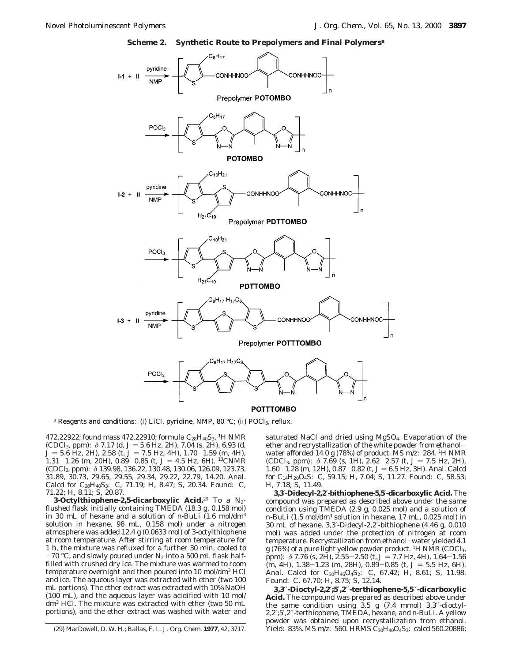**Scheme 2. Synthetic Route to Prepolymers and Final Polymers***<sup>a</sup>*



*a* Reagents and conditions: (i) LiCl, pyridine, NMP, 80 °C; (ii) POCl<sub>3</sub>, reflux.

472.22922; found mass 472.22910; formula C<sub>28</sub>H<sub>40</sub>S<sub>3</sub>. <sup>1</sup>H NMR (CDCl<sub>3</sub>, ppm): *δ* 7.17 (d, *J* = 5.6 Hz, 2H), 7.04 (s, 2H), 6.93 (d,  $J = 5.6$  Hz, 2H), 2.58 (t,  $J = 7.5$  Hz, 4H), 1.70-1.59 (m, 4H), 1.31-1.26 (m, 20H),  $0.89-0.85$  (t,  $J = 4.5$  Hz, 6H). <sup>13</sup>CNMR (CDCl3, ppm): *δ* 139.98, 136.22, 130.48, 130.06, 126.09, 123.73, 31.89, 30.73, 29.65, 29.55, 29.34, 29.22, 22.79, 14.20. Anal. Calcd for C<sub>28</sub>H<sub>40</sub>S<sub>3</sub>: C, 71.19; H, 8.47; S, 20.34. Found: C, 71.22; H, 8.11; S, 20.87.

**3-Octylthiophene-2,5-dicarboxylic Acid.**<sup>29</sup> To a N2 flushed flask initially containing TMEDA (18.3 g, 0.158 mol) in 30 mL of hexane and a solution of *n*-BuLi (1.6 mol/dm3 solution in hexane, 98 mL, 0.158 mol) under a nitrogen atmosphere was added 12.4 g (0.0633 mol) of 3-octylthiophene at room temperature. After stirring at room temperature for 1 h, the mixture was refluxed for a further 30 min, cooled to  $-70$  °C, and slowly poured under N<sub>2</sub> into a 500 mL flask halffilled with crushed dry ice. The mixture was warmed to room temperature overnight and then poured into 10 mol/dm3 HCl and ice. The aqueous layer was extracted with ether (two 100 mL portions). The ether extract was extracted with 10% NaOH (100 mL), and the aqueous layer was acidified with 10 mol/ dm3 HCl. The mixture was extracted with ether (two 50 mL portions), and the ether extract was washed with water and saturated NaCl and dried using MgSO4. Evaporation of the ether and recrystallization of the white powder from ethanolwater afforded 14.0 g (78%) of product. MS *m*/*z*: 284. 1H NMR (CDCl<sub>3</sub>, ppm):  $\delta$  7.69 (s, 1H), 2.62-2.57 (t,  $J = 7.5$  Hz, 2H),  $1.60-1.28$  (m, 12H),  $0.87-0.82$  (t,  $J=6.5$  Hz, 3H). Anal. Calcd for C14H20O4S: C, 59.15; H, 7.04; S, 11.27. Found: C, 58.53; H, 7.18; S, 11.49.

**3,3**′**-Didecyl-2,2**′**-bithiophene-5,5**′**-dicarboxylic Acid.** The compound was prepared as described above under the same condition using TMEDA (2.9 g, 0.025 mol) and a solution of *n*-BuLi (1.5 mol/dm3 solution in hexane, 17 mL, 0.025 mol) in 30 mL of hexane. 3,3′-Didecyl-2,2′-bithiophene (4.46 g, 0.010 mol) was added under the protection of nitrogen at room temperature. Recrystallization from ethanol-water yielded 4.1  $g(76%)$  of a pure light yellow powder product. <sup>1</sup>H NMR (CDCl<sub>3</sub>, ppm):  $\delta$  7.76 (s, 2H), 2.55-2.50 (t,  $J = 7.7$  Hz, 4H), 1.64-1.56  $\overline{(m, 4H)}$ , 1.38-1.23 (m, 28H), 0.89-0.85 (t,  $J = 5.5$  Hz, 6H). Anal. Calcd for  $C_{30}H_{46}O_4S_2$ : C, 67.42; H, 8.61; S, 11.98. Found: C, 67.70; H, 8.75; S, 12.14.

**3,3**′′**-Dioctyl-2,2**′**;5**′**,2**′′**-terthiophene-5,5**′′**-dicarboxylic Acid.** The compound was prepared as described above under the same condition using 3.5 g (7.4 mmol) 3,3′′-dioctyl-2,2′;5′,2′′-terthiophene, TMEDA, hexane, and *n*-BuLi. A yellow powder was obtained upon recrystallization from ethanol. (29) MacDowell, D. W. H.; Ballas, F. L. *J. Org. Chem*. **1977**, *42*, 3717. Yield: 83%. MS *m*/*z*: 560. HRMS C30H40O4S3: calcd 560.20886;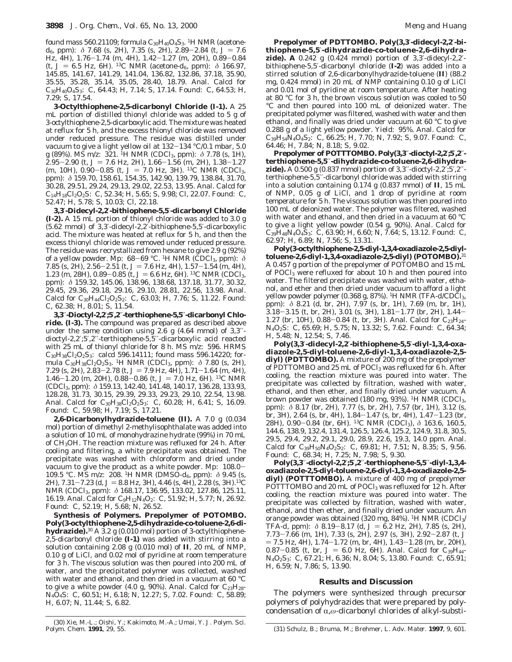found mass 560.21109; formula  $C_{30}H_{40}O_4S_3$ . <sup>1</sup>H NMR (acetone*d*<sub>6</sub>, ppm):  $\delta$  7.68 (s, 2H), 7.35 (s, 2H), 2.89-2.84 (t,  $J = 7.6$ Hz, 4H), 1.76-1.74 (m, 4H), 1.42-1.27 (m, 20H), 0.89-0.84 (t, *<sup>J</sup>* ) 6.5 Hz, 6H). 13C NMR (acetone-*d*6, ppm): *<sup>δ</sup>* 166.97, 145.85, 141.67, 141.29, 141.04, 136.82, 132.86, 37.18, 35.90, 35.55, 35.28, 35.14, 35.05, 28.40, 18.79. Anal. Calcd for  $C_{30}H_{40}O_4S_3$ : C, 64.43; H, 7.14; S, 17.14. Found: C, 64.53; H, 7.29; S, 17.54.

**3-Octylthiophene-2,5-dicarbonyl Chloride (I-1).** A 25 mL portion of distilled thionyl chloride was added to 5 g of 3-octylthiophene-2,5-dicarboxylic acid. The mixture was heated at reflux for 5 h, and the excess thionyl chloride was removed under reduced pressure. The residue was distilled under vacuum to give a light yellow oil at 132-134 °C/0.1 mbar, 5.0 g (89%). MS *m*/*z*: 321. 1H NMR (CDCl3, ppm): *δ* 7.78 (s, 1H), 2.95-2.90 (t,  $J = 7.6$  Hz, 2H),  $1.66-1.56$  (m, 2H),  $1.38-1.27$ (m, 10H), 0.90-0.85 (t,  $J = 7.0$  Hz, 3H). <sup>13</sup>C NMR (CDCl<sub>3</sub>, ppm): *δ* 159.70, 158.61, 154.35, 142.90, 139.79, 138.84, 31.70, 30.28, 29.51, 29.24, 29.13, 29.02, 22.53, 13.95. Anal. Calcd for  $C_{14}H_{18}Cl_2O_2S$ : C, 52.34; H, 5.65; S, 9.98; Cl, 22.07. Found: C, 52.47; H, 5.78; S, 10.03; Cl, 22.18.

**3,3**′**-Didecyl-2,2**′**-bithiophene-5,5**′**-dicarbonyl Chloride (I-2).** A 15 mL portion of thionyl chloride was added to 3.0 g (5.62 mmol) of 3,3′-didecyl-2,2′-bithiophene-5,5′-dicarboxylic acid. The mixture was heated at reflux for 5 h, and then the excess thionyl chloride was removed under reduced pressure. The residue was recrystallized from hexane to give 2.9 g (92%) of a yellow powder. Mp: 68-69 °C. 1H NMR (CDCl3, ppm): *<sup>δ</sup>* 7.85 (s, 2H),  $2.56-2.51$  (t,  $J = 7.6$  Hz, 4H),  $1.57-1.54$  (m, 4H), 1.23 (m, 28H), 0.89-0.85 (t,  $J = 6.6$  Hz, 6H). <sup>13</sup>C NMR (CDCl<sub>3</sub>, ppm): *δ* 159.32, 145.06, 138.96, 138.68, 137.18, 31.77, 30.32, 29.45, 29.36, 29.18, 29.16, 29.10, 28.81, 22.56, 13.98. Anal. Calcd for  $C_{30}H_{44}Cl_2O_2S_2$ : C, 63.03; H, 7.76; S, 11.22. Found: C, 62.38; H, 8.01; S, 11.54.

**3,3**′′**-Dioctyl-2,2**′**;5**′**,2**′′**-terthiophene-5,5**′′**-dicarbonyl Chloride. (I-3).** The compound was prepared as described above under the same condition using 2.6 g (4.64 mmol) of 3,3" dioctyl-2,2′;5′,2′′-terthiophene-5,5′′-dicarboxylic acid reacted with 25 mL of thionyl chloride for 8 h. MS *m*/*z*: 596. HRMS  $C_{30}H_{38}Cl_{2}O_{2}S_{3}$ : calcd 596.14111; found mass 596.14220; formula C<sub>30</sub>H<sub>38</sub>Cl<sub>2</sub>O<sub>2</sub>S<sub>3</sub>. <sup>1</sup>H NMR (CDCl<sub>3</sub>, ppm): *δ* 7.80 (s, 2H), 7.29 (s, 2H),  $2.83 - 2.78$  (t,  $J = 7.9$  Hz, 4H),  $1.71 - 1.64$  (m, 4H), 1.46-1.20 (m, 20H), 0.88-0.86 (t,  $J = 7.0$  Hz, 6H). <sup>13</sup>C NMR (CDCl3, ppm): *δ* 159.13, 142.40, 141.48, 140.17, 136.28, 133.93, 128.28, 31.73, 30.15, 29.39, 29.33, 29.23, 29.10, 22.54, 13.98. Anal. Calcd for  $C_{30}H_{38}Cl_2O_2S_3$ : C, 60.28; H, 6.41; S, 16.09. Found: C, 59.98; H, 7.19; S, 17.21.

**2,6-Dicarbonylhydrazide-toluene (II).** A 7.0 g (0.034 mol) portion of dimethyl 2-methylisophthalate was added into a solution of 10 mL of monohydrazine hydrate (99%) in 70 mL of CH3OH. The reaction mixture was refluxed for 24 h. After cooling and filtering, a white precipitate was obtained. The precipitate was washed with chloroform and dried under vacuum to give the product as a white powder. Mp: 108.0- 109.5 °C. MS *m*/*z*: 208. 1H NMR (DMSO-*d*6, ppm): *δ* 9.45 (s, 2H),  $7.31 - 7.23$  (d,  $J = 8.8$  Hz, 3H), 4.46 (s, 4H), 2.28 (s, 3H).<sup>13</sup>C NMR (CDCl3, ppm): *δ* 168.17, 136.95, 133.02, 127.86, 125.11, 16.19. Anal. Calcd for  $C_9H_{12}N_4O_2$ : C, 51.92; H, 5.77; N, 26.92. Found: C, 52.19; H, 5.68; N, 26.52.

**Synthesis of Polymers. Prepolymer of POTOMBO. Poly(3-octylthiophene-2,5-dihydrazide-***co***-toluene-2,6-dihydrazide).**<sup>30</sup> A 3.2 g (0.010 mol) portion of 3-octylthiophene-2,5-dicarbonyl chloride **(I-1)** was added with stirring into a solution containing 2.08 g (0.010 mol) of **II**, 20 mL of NMP, 0.10 g of LiCl, and 0.02 mol of pyridine at room temperature for 3 h. The viscous solution was then poured into 200 mL of water, and the precipitated polymer was collected, washed with water and ethanol, and then dried in a vacuum at 60 °C to give a white powder (4.0 g, 90%). Anal. Calcd for  $C_{23}H_{28}$ -N4O4S: C, 60.51; H, 6.18; N, 12.27; S, 7.02. Found: C, 58.89; H, 6.07; N, 11.44; S, 6.82.

**Prepolymer of PDTTOMBO. Poly(3,3**′**-didecyl-2,2**′**-bithiophene-5,5**′**-dihydrazide-***co***-toluene-2,6-dihydrazide). A** 0.242 g (0.424 mmol) portion of 3,3′-didecyl-2,2′ bithiophene-5,5′-dicarbonyl chloride (**I-2**) was added into a stirred solution of 2,6-dicarbonylhydrazide-toluene (**II**) (88.2 mg, 0.424 mmol) in 20 mL of NMP containing 0.10 g of LiCl and 0.01 mol of pyridine at room temperature. After heating at 80 °C for 3 h, the brown viscous solution was cooled to 50 °C and then poured into 100 mL of deionized water. The precipitated polymer was filtered, washed with water and then ethanol, and finally was dried under vacuum at 60 °C to give 0.288 g of a light yellow powder. Yield: 95%. Anal. Calcd for C39H54N4O4S2: C, 66.25; H, 7.70; N, 7.92; S, 9.07. Found: C, 64.46; H, 7.84; N, 8.18; S, 9.02.

**Prepolymer of POTTTOMBO. Poly(3,3**′′**-dioctyl-2,2**′**;5**′**,2**′′ **terthiophene-5,5**′′**-dihydrazide-***co***-toluene-2,6-dihydrazide).** A 0.500 g (0.837 mmol) portion of 3,3′′-dioctyl-2,2′;5′,2′′ terthiophene-5,5′′-dicarbonyl chloride was added with stirring into a solution containing 0.174 g (0.837 mmol) of **II**, 15 mL of NMP, 0.05 g of LiCl, and 1 drop of pyridine at room temperature for 5 h. The viscous solution was then poured into 100 mL of deionized water. The polymer was filtered, washed with water and ethanol, and then dried in a vacuum at 60 °C to give a light yellow powder (0.54 g, 90%). Anal. Calcd for  $C_{39}H_{48}N_4O_4S_3$ : C, 63.90; H, 6.60; N, 7.64; S, 13.12. Found: C, 62.97; H, 6.89; N, 7.56; S, 13.31.

**Poly(3-octylthiophene-2,5-diyl-1,3,4-oxadiazole-2,5-diyltoluene-2,6-diyl-1,3,4-oxadiazole-2,5-diyl) (POTOMBO).**<sup>31</sup> A 0.457 g portion of the prepolymer of POTOMBO and 15 mL of POCl<sub>3</sub> were refluxed for about 10 h and then poured into water. The filtered precipitate was washed with water, ethanol, and ether and then dried under vacuum to afford a light yellow powder polymer (0.368 g, 87%). <sup>1</sup>H NMR (TFA-*d*/CDCl<sub>3</sub>, ppm): *δ* 8.21 (d, br, 2H), 7.97 (s, br, 1H), 7.69 (m, br, 1H), 3.18-3.15 (t, br, 2H), 3.01 (s, 3H), 1.81-1.77 (br, 2H), 1.44- 1.27 (br, 10H),  $0.88-0.84$  (t, br, 3H). Anal. Calcd for  $C_{23}H_{24}$ -N4O2S: C, 65.69; H, 5.75; N, 13.32; S, 7.62. Found: C, 64.34; H, 5.48; N, 12.54; S, 7.46.

**Poly(3,3**′**-didecyl-2,2**′**-bithiophene-5,5**′**-diyl-1,3,4-oxadiazole-2,5-diyl-toluene-2,6-diyl-1,3,4-oxadiazole-2,5 diyl) (PDTTOMBO).** A mixture of 200 mg of the prepolymer of PDTTOMBO and 25 mL of POCl<sub>3</sub> was refluxed for 6 h. After cooling, the reaction mixture was poured into water. The precipitate was collected by filtration, washed with water, ethanol, and then ether, and finally dried under vacuum. A brown powder was obtained (180 mg, 93%). <sup>1</sup>H NMR (CDCl<sub>3</sub>, ppm): *δ* 8.17 (br, 2H), 7.77 (s, br, 2H), 7.57 (br, 1H), 3.12 (s, br, 3H), 2.64 (s, br, 4H),  $1.84-1.47$  (s, br, 4H),  $1.47-1.23$  (br, 28H), 0.90-0.84 (br, 6H). 13C NMR (CDCl3), *<sup>δ</sup>* 163.6, 160.5, 144.6, 138.9, 132.4, 131.4, 126.5, 126.4, 125.2, 124.9, 31.8, 30.5, 29.5, 29.4, 29.2, 29.1, 29.0, 28.9, 22.6, 19.3, 14.0 ppm. Anal. Calcd for  $C_{39}H_{50}N_4O_2S_2$ : C, 69.81; H, 7.51; N, 8.35; S, 9.56. Found: C, 68.34; H, 7.25; N, 7.98; S, 9.30.

**Poly(3,3**′′**-dioctyl-2,2**′**;5**′**,2**′′**-terthiophene-5,5**′′**-diyl-1,3,4 oxadiazole-2,5-diyl-toluene-2,6-diyl-1,3,4-oxadiazole-2,5 diyl) (POTTTOMBO).** A mixture of 400 mg of prepolymer POTTTOMBO and 20 mL of POCl<sub>3</sub> was refluxed for 12 h. After cooling, the reaction mixture was poured into water. The precipitate was collected by filtration, washed with water, ethanol, and then ether, and finally dried under vacuum. An orange powder was obtained (320 mg, 84%). <sup>1</sup>H NMR (CDCl<sub>3</sub>/ TFA-*d*, ppm):  $\delta$  8.19–8.17 (d,  $J = 6.2$  Hz, 2H), 7.85 (s, 2H), 7.73-7.66 (m, 1H), 7.33 (s, 2H), 2.97 (s, 3H), 2.92-2.87 (t, *<sup>J</sup>*  $= 7.5$  Hz, 4H),  $1.74 - 1.72$  (m, br, 4H),  $1.43 - 1.28$  (m, br, 20H), 0.87-0.85 (t, br,  $J = 6.0$  Hz, 6H). Anal. Calcd for C<sub>39</sub>H<sub>44</sub>-N4O2S3: C, 67.21; H, 6.36; N, 8.04; S, 13.80. Found: C, 65.91; H, 6.59; N, 7.86; S, 13.90.

## **Results and Discussion**

The polymers were synthesized through precursor polymers of polyhydrazides that were prepared by polycondensation of α,ω-dicarbonyl chlorides of alkyl-substi-

<sup>(30)</sup> Xie, M.-L.; Oishi, Y.; Kakimoto, M.-A.; Umai, Y*. J. Polym. Sci.*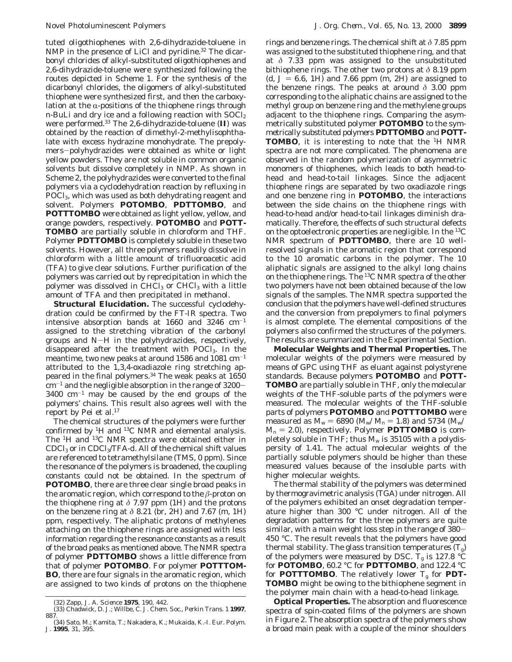tuted oligothiophenes with 2,6-dihydrazide-toluene in NMP in the presence of LiCl and pyridine.<sup>32</sup> The dicarbonyl chlorides of alkyl-substituted oligothiophenes and 2,6-dihydrazide-toluene were synthesized following the routes depicted in Scheme 1. For the synthesis of the dicarbonyl chlorides, the oligomers of alkyl-substituted thiophene were synthesized first, and then the carboxylation at the  $\alpha$ -positions of the thiophene rings through *n*-BuLi and dry ice and a following reaction with SOCl<sub>2</sub> were performed.33 The 2,6-dihydrazide-toluene (**II**) was obtained by the reaction of dimethyl-2-methylisophthalate with excess hydrazine monohydrate. The prepolymers-polyhydrazides were obtained as white or light yellow powders. They are not soluble in common organic solvents but dissolve completely in NMP. As shown in Scheme 2, the polyhydrazides were converted to the final polymers via a cyclodehydration reaction by refluxing in POCl<sub>3</sub>, which was used as both dehydrating reagent and solvent. Polymers **POTOMBO**, **PDTTOMBO**, and **POTTTOMBO** were obtained as light yellow, yellow, and orange powders, respectively. **POTOMBO** and **POTT-TOMBO** are partially soluble in chloroform and THF. Polymer **PDTTOMBO** is completely soluble in these two solvents. However, all three polymers readily dissolve in chloroform with a little amount of trifluoroacetic acid (TFA) to give clear solutions. Further purification of the polymers was carried out by reprecipitation in which the polymer was dissolved in CHCl<sub>3</sub> or CHCl<sub>3</sub> with a little amount of TFA and then precipitated in methanol.

**Structural Elucidation.** The successful cyclodehydration could be confirmed by the FT-IR spectra. Two intensive absorption bands at  $1660$  and  $3246$   $cm^{-1}$ assigned to the stretching vibration of the carbonyl groups and N-H in the polyhydrazides, respectively, disappeared after the treatment with POCl3. In the meantime, two new peaks at around 1586 and 1081  $cm^{-1}$ attributed to the 1,3,4-oxadiazole ring stretching appeared in the final polymers.<sup>34</sup> The weak peaks at 1650  $cm^{-1}$  and the negligible absorption in the range of 3200- $3400 \text{ cm}^{-1}$  may be caused by the end groups of the polymers' chains. This result also agrees well with the report by Pei et al.<sup>17</sup>

The chemical structures of the polymers were further confirmed by  ${}^{1}$ H and  ${}^{13}$ C NMR and elemental analysis. The 1H and 13C NMR spectra were obtained either in CDCl3 or in CDCl3/TFA-*d*. All of the chemical shift values are referenced to tetramethylsilane (TMS, 0 ppm). Since the resonance of the polymers is broadened, the coupling constants could not be obtained. In the spectrum of **POTOMBO**, there are three clear single broad peaks in the aromatic region, which correspond to the *â*-proton on the thiophene ring at *δ* 7.97 ppm (1H) and the protons on the benzene ring at  $\delta$  8.21 (br, 2H) and 7.67 (m, 1H) ppm, respectively. The aliphatic protons of methylenes attaching on the thiophene rings are assigned with less information regarding the resonance constants as a result of the broad peaks as mentioned above. The NMR spectra of polymer **PDTTOMBO** shows a little difference from that of polymer **POTOMBO**. For polymer **POTTTOM-BO**, there are four signals in the aromatic region, which are assigned to two kinds of protons on the thiophene

rings and benzene rings. The chemical shift at *δ* 7.85 ppm was assigned to the substituted thiophene ring, and that at *δ* 7.33 ppm was assigned to the unsubstituted bithiophene rings. The other two protons at *δ* 8.19 ppm (d,  $J = 6.6$ , 1H) and 7.66 ppm (m, 2H) are assigned to the benzene rings. The peaks at around *δ* 3.00 ppm corresponding to the aliphatic chains are assigned to the methyl group on benzene ring and the methylene groups adjacent to the thiophene rings. Comparing the asymmetrically substituted polymer **POTOMBO** to the symmetrically substituted polymers **PDTTOMBO** and **POTT-TOMBO**, it is interesting to note that the 1H NMR spectra are not more complicated. The phenomena are observed in the random polymerization of asymmetric monomers of thiophenes, which leads to both head-tohead and head-to-tail linkages. Since the adjacent thiophene rings are separated by two oxadiazole rings and one benzene ring in **POTOMBO**, the interactions between the side chains on the thiophene rings with head-to-head and/or head-to-tail linkages diminish dramatically. Therefore, the effects of such structural defects on the optoelectronic properties are negligible. In the 13C NMR spectrum of **PDTTOMBO**, there are 10 wellresolved signals in the aromatic region that correspond to the 10 aromatic carbons in the polymer. The 10 aliphatic signals are assigned to the alkyl long chains on the thiophene rings. The 13C NMR spectra of the other two polymers have not been obtained because of the low signals of the samples. The NMR spectra supported the conclusion that the polymers have well-defined structures and the conversion from prepolymers to final polymers is almost complete. The elemental compositions of the polymers also confirmed the structures of the polymers. The results are summarized in the Experimental Section.

**Molecular Weights and Thermal Properties.** The molecular weights of the polymers were measured by means of GPC using THF as eluant against polystyrene standards. Because polymers **POTOMBO** and **POTT-TOMBO** are partially soluble in THF, only the molecular weights of the THF-soluble parts of the polymers were measured. The molecular weights of the THF-soluble parts of polymers **POTOMBO** and **POTTTOMBO** were measured as  $M_w = 6890 \ (M_w/M_n = 1.8)$  and 5734 ( $M_w$ /  $M_n = 2.0$ , respectively. Polymer **PDTTOMBO** is completely soluble in THF; thus  $M_w$  is 35105 with a polydispersity of 1.41. The actual molecular weights of the partially soluble polymers should be higher than these measured values because of the insoluble parts with higher molecular weights.

The thermal stability of the polymers was determined by thermogravimetric analysis (TGA) under nitrogen. All of the polymers exhibited an onset degradation temperature higher than 300 °C under nitrogen. All of the degradation patterns for the three polymers are quite similar, with a main weight loss step in the range of 380- 450 °C. The result reveals that the polymers have good thermal stability. The glass transition temperatures  $(T_g)$ of the polymers were measured by DSC.  $T_g$  is 127.8 °C for **POTOMBO**, 60.2 °C for **PDTTOMBO**, and 122.4 °C for **POTTTOMBO**. The relatively lower  $T_g$  for **PDT**-**TOMBO** might be owing to the bithiophene segment in the polymer main chain with a head-to-head linkage.

**Optical Properties.** The absorption and fluorescence spectra of spin-coated films of the polymers are shown in Figure 2. The absorption spectra of the polymers show a broad main peak with a couple of the minor shoulders

<sup>(32)</sup> Zapp, J. A. *Science* **1975**, *190*, 442.

<sup>(33)</sup> Chadwick, D. J.; Willbe, C. *J. Chem. Soc., Perkin Trans. 1* **1997**, 887.

<sup>(34)</sup> Sato, M.; Kamita, T.; Nakadera, K.; Mukaida, K.-I. *Eur. Polym. J*. **1995**, *31*, 395.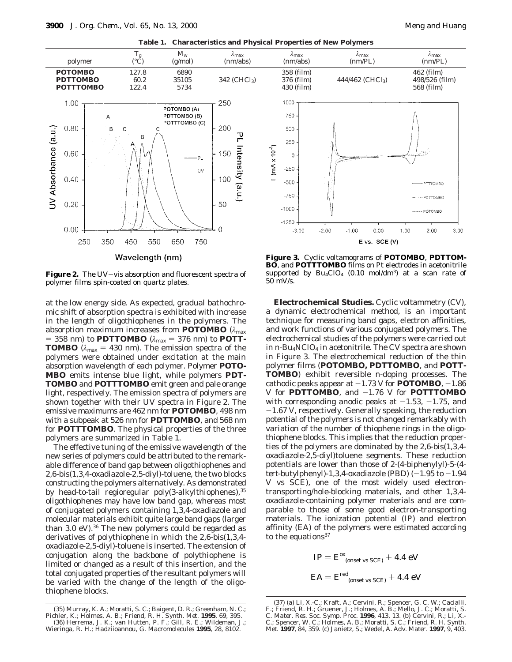**Table 1. Characteristics and Physical Properties of New Polymers**



Figure 2. The UV-vis absorption and fluorescent spectra of polymer films spin-coated on quartz plates.

at the low energy side. As expected, gradual bathochromic shift of absorption spectra is exhibited with increase in the length of oligothiophenes in the polymers. The absorption maximum increases from **POTOMBO** (*λ*max  $= 358$  nm) to **PDTTOMBO** ( $\lambda_{\text{max}} = 376$  nm) to **POTT**-**TOMBO** ( $\lambda_{\text{max}} = 430$  nm). The emission spectra of the polymers were obtained under excitation at the main absorption wavelength of each polymer. Polymer **POTO-MBO** emits intense blue light, while polymers **PDT-TOMBO** and **POTTTOMBO** emit green and pale orange light, respectively. The emission spectra of polymers are shown together with their UV spectra in Figure 2. The emissive maximums are 462 nm for **POTOMBO**, 498 nm with a subpeak at 526 nm for **PDTTOMBO**, and 568 nm for **POTTTOMBO**. The physical properties of the three polymers are summarized in Table 1.

The effective tuning of the emissive wavelength of the new series of polymers could be attributed to the remarkable difference of band gap between oligothiophenes and 2,6-bis(1,3,4-oxadiazole-2,5-diyl)-toluene, the two blocks constructing the polymers alternatively. As demonstrated by head-to-tail regioregular poly(3-alkylthiophenes), 35 oligothiophenes may have low band gap, whereas most of conjugated polymers containing 1,3,4-oxadiazole and molecular materials exhibit quite large band gaps (larger than 3.0 eV). $36$  The new polymers could be regarded as derivatives of polythiophene in which the 2,6-bis(1,3,4 oxadiazole-2,5-diyl)-toluene is inserted. The extension of conjugation along the backbone of polythiophene is limited or changed as a result of this insertion, and the total conjugated properties of the resultant polymers will be varied with the change of the length of the oligothiophene blocks.



**Electrochemical Studies.** Cyclic voltammetry (CV), a dynamic electrochemical method, is an important technique for measuring band gaps, electron affinities, and work functions of various conjugated polymers. The electrochemical studies of the polymers were carried out in *n*-Bu<sub>4</sub>NClO<sub>4</sub> in acetonitrile. The CV spectra are shown in Figure 3. The electrochemical reduction of the thin polymer films (**POTOMBO, PDTTOMBO**, and **POTT-TOMBO**) exhibit reversible *n*-doping processes. The cathodic peaks appear at  $-1.73$  V for **POTOMBO**,  $-1.86$  $V$  for **PDTTOMBO**, and  $-1.76$  V for **POTTTOMBO** with corresponding anodic peaks at  $-1.53$ ,  $-1.75$ , and -1.67 V, respectively. Generally speaking, the reduction potential of the polymers is not changed remarkably with variation of the number of thiophene rings in the oligothiophene blocks. This implies that the reduction properties of the polymers are dominated by the 2,6-bis(1,3,4 oxadiazole-2,5-diyl)toluene segments. These reduction potentials are lower than those of 2-(4-biphenylyl)-5-(4 *tert*-butylphenyl)-1,3,4-oxadiazole (PBD)  $(-1.95$  to  $-1.94$ V vs SCE), one of the most widely used electrontransporting/hole-blocking materials, and other 1,3,4 oxadiazole-containing polymer materials and are comparable to those of some good electron-transporting materials. The ionization potential (IP) and electron affinity (EA) of the polymers were estimated according to the equations<sup>37</sup>

$$
IP = E^{\text{ex}}_{\text{(onset vs SCE)}} + 4.4 \text{ eV}
$$

$$
EA = E^{\text{red}}_{\text{(onset vs SCE)}} + 4.4 \text{ eV}
$$

<sup>(35)</sup> Murray, K. A.; Moratti, S. C.; Baigent, D. R.; Greenham, N. C.; Pichler, K.; Holmes, A. B.; Friend, R. H. *Synth. Met.* **1995**, *69*, 395. (36) Herrema, J. K.; van Hutten, P. F.; Gill, R. E.; Wildeman, J.; Wieringa, R. H.; Hadziioannou, G. *Macromolecules* **1995**, *28*, 8102.

<sup>(37) (</sup>a) Li, X.-C.; Kraft, A.; Cervini, R.; Spencer, G. C. W.; Cacialli, F.; Friend, R. H.; Gruener, J.; Holmes, A. B.; Mello, J. C.; Moratti, S. C. *Mater. Res. Soc. Symp. Proc*. **1996**, *413*, 13. (b) Cervini, R.; Li, X.- C.; Spencer, W. C.; Holmes, A. B.; Moratti, S. C.; Friend, R. H. *Synth. Met*. **1997**, *84*, 359. (c) Janietz, S.; Wedel, A. *Adv. Mater*. **1997**, *9*, 403.